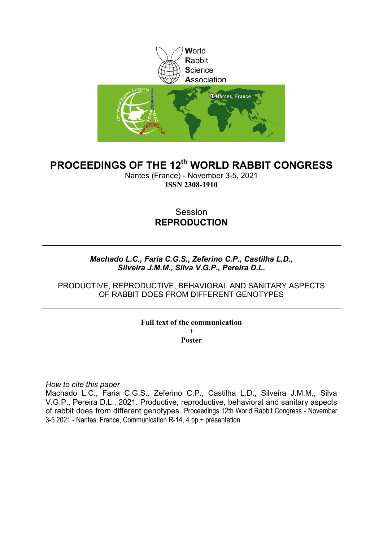

# **PROCEEDINGS OF THE 12th WORLD RABBIT CONGRESS**

Nantes (France) - November 3-5, 2021 **ISSN 2308-1910**

## Session **REPRODUCTION**

## *Machado L.C., Faria C.G.S., Zeferino C.P., Castilha L.D., Silveira J.M.M., Silva V.G.P., Pereira D.L.*

PRODUCTIVE, REPRODUCTIVE, BEHAVIORAL AND SANITARY ASPECTS OF RABBIT DOES FROM DIFFERENT GENOTYPES

#### **Full text of the communication + Poster**

*How to cite this paper*

Machado L.C., Faria C.G.S., Zeferino C.P., Castilha L.D., Silveira J.M.M., Silva V.G.P., Pereira D.L., 2021. Productive, reproductive, behavioral and sanitary aspects of rabbit does from different genotypes. Proceedings 12th World Rabbit Congress - November 3-5 2021 - Nantes, France, Communication R-14, 4 pp.+ presentation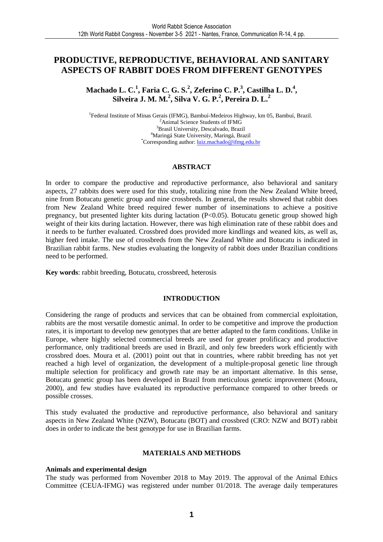## **PRODUCTIVE, REPRODUCTIVE, BEHAVIORAL AND SANITARY ASPECTS OF RABBIT DOES FROM DIFFERENT GENOTYPES**

**Machado L. C.<sup>1</sup> , Faria C. G. S.<sup>2</sup> , Zeferino C. P.<sup>3</sup> , Castilha L. D.<sup>4</sup> , Silveira J. M. M.<sup>2</sup> , Silva V. G. P.<sup>2</sup> , Pereira D. L.<sup>2</sup>**

<sup>1</sup> Federal Institute of Minas Gerais (IFMG), Bambuí-Medeiros Highway, km 05, Bambuí, Brazil. <sup>2</sup>Animal Science Students of IFMG <sup>3</sup>Brasil University, Descalvado, Brazil <sup>4</sup>Maringá State University, Maringá, Brazil \*Corresponding author: *luiz.machado@ifmg.edu.br* 

#### **ABSTRACT**

In order to compare the productive and reproductive performance, also behavioral and sanitary aspects, 27 rabbits does were used for this study, totalizing nine from the New Zealand White breed, nine from Botucatu genetic group and nine crossbreds. In general, the results showed that rabbit does from New Zealand White breed required fewer number of inseminations to achieve a positive pregnancy, but presented lighter kits during lactation (P<0.05). Botucatu genetic group showed high weight of their kits during lactation. However, there was high elimination rate of these rabbit does and it needs to be further evaluated. Crossbred does provided more kindlings and weaned kits, as well as, higher feed intake. The use of crossbreds from the New Zealand White and Botucatu is indicated in Brazilian rabbit farms. New studies evaluating the longevity of rabbit does under Brazilian conditions need to be performed.

**Key words**: rabbit breeding, Botucatu, crossbreed, heterosis

#### **INTRODUCTION**

Considering the range of products and services that can be obtained from commercial exploitation, rabbits are the most versatile domestic animal. In order to be competitive and improve the production rates, it is important to develop new genotypes that are better adapted to the farm conditions. Unlike in Europe, where highly selected commercial breeds are used for greater prolificacy and productive performance, only traditional breeds are used in Brazil, and only few breeders work efficiently with crossbred does. Moura et al. (2001) point out that in countries, where rabbit breeding has not yet reached a high level of organization, the development of a multiple-proposal genetic line through multiple selection for prolificacy and growth rate may be an important alternative. In this sense, Botucatu genetic group has been developed in Brazil from meticulous genetic improvement (Moura, 2000), and few studies have evaluated its reproductive performance compared to other breeds or possible crosses.

This study evaluated the productive and reproductive performance, also behavioral and sanitary aspects in New Zealand White (NZW), Botucatu (BOT) and crossbred (CRO: NZW and BOT) rabbit does in order to indicate the best genotype for use in Brazilian farms.

#### **MATERIALS AND METHODS**

#### **Animals and experimental design**

The study was performed from November 2018 to May 2019. The approval of the Animal Ethics Committee (CEUA-IFMG) was registered under number 01/2018. The average daily temperatures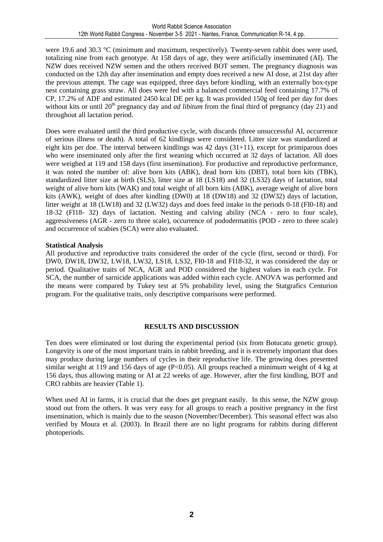were 19.6 and 30.3 °C (minimum and maximum, respectively). Twenty-seven rabbit does were used, totalizing nine from each genotype. At 158 days of age, they were artificially inseminated (AI). The NZW does received NZW semen and the others received BOT semen. The pregnancy diagnosis was conducted on the 12th day after insemination and empty does received a new AI dose, at 21st day after the previous attempt. The cage was equipped, three days before kindling, with an externally box-type nest containing grass straw. All does were fed with a balanced commercial feed containing 17.7% of CP, 17.2% of ADF and estimated 2450 kcal DE per kg. It was provided 150g of feed per day for does without kits or until 20<sup>th</sup> pregnancy day and *ad libitum* from the final third of pregnancy (day 21) and throughout all lactation period.

Does were evaluated until the third productive cycle, with discards (three unsuccessful AI, occurrence of serious illness or death). A total of 62 kindlings were considered. Litter size was standardized at eight kits per doe. The interval between kindlings was 42 days (31+11), except for primiparous does who were inseminated only after the first weaning which occurred at 32 days of lactation. All does were weighed at 119 and 158 days (first insemination). For productive and reproductive performance, it was noted the number of: alive born kits (ABK), dead born kits (DBT), total born kits (TBK), standardized litter size at birth (SLS), litter size at 18 (LS18) and 32 (LS32) days of lactation, total weight of alive born kits (WAK) and total weight of all born kits (ABK), average weight of alive born kits (AWK), weight of does after kindling (DW0) at 18 (DW18) and 32 (DW32) days of lactation, litter weight at 18 (LW18) and 32 (LW32) days and does feed intake in the periods 0-18 (FI0-18) and 18-32 (FI18- 32) days of lactation. Nesting and calving ability (NCA - zero to four scale), aggressiveness (AGR - zero to three scale), occurrence of pododermatitis (POD - zero to three scale) and occurrence of scabies (SCA) were also evaluated.

#### **Statistical Analysis**

All productive and reproductive traits considered the order of the cycle (first, second or third). For DW0, DW18, DW32, LW18, LW32, LS18, LS32, FI0-18 and FI18-32, it was considered the day or period. Qualitative traits of NCA, AGR and POD considered the highest values in each cycle. For SCA, the number of sarnicide applications was added within each cycle. ANOVA was performed and the means were compared by Tukey test at 5% probability level, using the Statgrafics Centurion program. For the qualitative traits, only descriptive comparisons were performed.

#### **RESULTS AND DISCUSSION**

Ten does were eliminated or lost during the experimental period (six from Botucatu genetic group). Longevity is one of the most important traits in rabbit breeding, and it is extremely important that does may produce during large numbers of cycles in their reproductive life. The growing does presented similar weight at 119 and 156 days of age (P<0.05). All groups reached a minimum weight of 4 kg at 156 days, thus allowing mating or AI at 22 weeks of age. However, after the first kindling, BOT and CRO rabbits are heavier (Table 1).

When used AI in farms, it is crucial that the does get pregnant easily. In this sense, the NZW group stood out from the others. It was very easy for all groups to reach a positive pregnancy in the first insemination, which is mainly due to the season (November/December). This seasonal effect was also verified by Moura et al. (2003). In Brazil there are no light programs for rabbits during different photoperiods.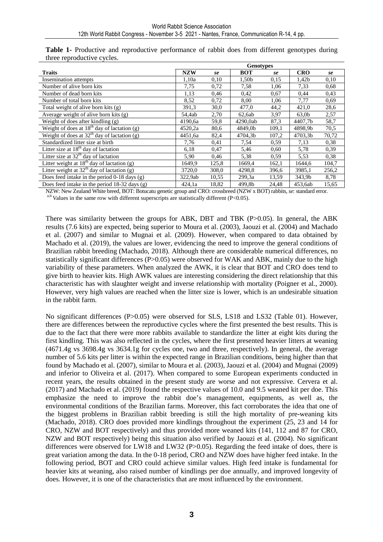|                                                  | <b>Genotypes</b> |       |            |       |                   |       |  |
|--------------------------------------------------|------------------|-------|------------|-------|-------------------|-------|--|
| <b>Traits</b>                                    | <b>NZW</b>       | se    | <b>BOT</b> | se    | <b>CRO</b>        | se    |  |
| <b>Insemination</b> attempts                     | 1,10a            | 0.10  | 1,50b      | 0.15  | 1,42b             | 0,10  |  |
| Number of alive born kits                        | 7,75             | 0,72  | 7,58       | 1,06  | 7.33              | 0.68  |  |
| Number of dead born kits                         | 1,13             | 0.46  | 0,42       | 0,67  | 0,44              | 0.43  |  |
| Number of total born kits                        | 8,52             | 0,72  | 8,00       | 1,06  | 7,77              | 0.69  |  |
| Total weight of alive born kits (g)              | 391,3            | 30,0  | 477,0      | 44,2  | 421,0             | 28,6  |  |
| Average weight of alive born kits $(g)$          | 54,4ab           | 2,70  | 62,6ab     | 3,97  | 63,0 <sub>b</sub> | 2,57  |  |
| Weight of does after kindling $(g)$              | 4190,6a          | 59.8  | 4290,0ab   | 87,3  | 4407,7b           | 58,7  |  |
| Weight of does at $18th$ day of lactation (g)    | 4520,2a          | 80,6  | 4849,0b    | 109,1 | 4898.9b           | 70,5  |  |
| Weight of does at $32th$ day of lactation (g)    | 4451,6a          | 82,4  | 4704,3b    | 107,2 | 4703.3b           | 70,72 |  |
| Standardized litter size at birth                | 7,76             | 0,41  | 7,54       | 0.59  | 7,13              | 0.38  |  |
| Litter size at $18th$ day of lactation           | 6,18             | 0,47  | 5,46       | 0.60  | 5,78              | 0.39  |  |
| Litter size at $32th$ day of lactation           | 5,90             | 0,46  | 5,38       | 0.59  | 5.53              | 0,38  |  |
| Litter weight at $18th$ day of lactation (g)     | 1649.9           | 125,8 | 1669,4     | 162,1 | 1644,6            | 104,7 |  |
| Litter weight at $32th$ day of lactation (g)     | 3720.0           | 308,0 | 4298.8     | 396,6 | 3985.1            | 256,2 |  |
| Does feed in take in the period $0-18$ days (g)  | 322,9ab          | 10,55 | 299,3a     | 13,59 | 343.9b            | 8,78  |  |
| Does feed in take in the period 18-32 days $(g)$ | 424,1a           | 18,82 | 499,8b     | 24,48 | 453,6ab           | 15,65 |  |

**Table 1-** Productive and reproductive performance of rabbit does from different genotypes during three reproductive cycles.

NZW: New Zealand White breed, BOT: Botucatu genetic group and CRO: crossbreed (NZW x BOT) rabbits, *se*: standard error.

 $a,b$  Values in the same row with different superscripts are statistically different (P<0.05).

There was similarity between the groups for ABK, DBT and TBK (P>0.05). In general, the ABK results (7.6 kits) are expected, being superior to Moura et al. (2003), Jaouzi et al. (2004) and Machado et al. (2007) and similar to Mugnai et al. (2009). However, when compared to data obtained by Machado et al. (2019), the values are lower, evidencing the need to improve the general conditions of Brazilian rabbit breeding (Machado, 2018). Although there are considerable numerical differences, no statistically significant differences (P>0.05) were observed for WAK and ABK, mainly due to the high variability of these parameters. When analyzed the AWK, it is clear that BOT and CRO does tend to give birth to heavier kits. High AWK values are interesting considering the direct relationship that this characteristic has with slaughter weight and inverse relationship with mortality (Poigner et al., 2000). However, very high values are reached when the litter size is lower, which is an undesirable situation in the rabbit farm.

No significant differences (P>0.05) were observed for SLS, LS18 and LS32 (Table 01). However, there are differences between the reproductive cycles where the first presented the best results. This is due to the fact that there were more rabbits available to standardize the litter at eight kits during the first kindling. This was also reflected in the cycles, where the first presented heavier litters at weaning (4671.4g vs 3698.4g vs 3634.1g for cycles one, two and three, respectively). In general, the average number of 5.6 kits per litter is within the expected range in Brazilian conditions, being higher than that found by Machado et al. (2007), similar to Moura et al. (2003), Jaouzi et al. (2004) and Mugnai (2009) and inferior to Oliveira et al. (2017). When compared to some European experiments conducted in recent years, the results obtained in the present study are worse and not expressive. Cervera et al. (2017) and Machado et al. (2019) found the respective values of 10.0 and 9.5 weaned kit per doe. This emphasize the need to improve the rabbit doe's management, equipments, as well as, the environmental conditions of the Brazilian farms. Moreover, this fact corroborates the idea that one of the biggest problems in Brazilian rabbit breeding is still the high mortality of pre-weaning kits (Machado, 2018). CRO does provided more kindlings throughout the experiment (25, 23 and 14 for CRO, NZW and BOT respectively) and thus provided more weaned kits (141, 112 and 87 for CRO, NZW and BOT respectively) being this situation also verified by Jaouzi et al. (2004). No significant differences were observed for LW18 and LW32 (P>0.05). Regarding the feed intake of does, there is great variation among the data. In the 0-18 period, CRO and NZW does have higher feed intake. In the following period, BOT and CRO could achieve similar values. High feed intake is fundamental for heavier kits at weaning, also raised number of kindlings per doe annually, and improved longevity of does. However, it is one of the characteristics that are most influenced by the environment.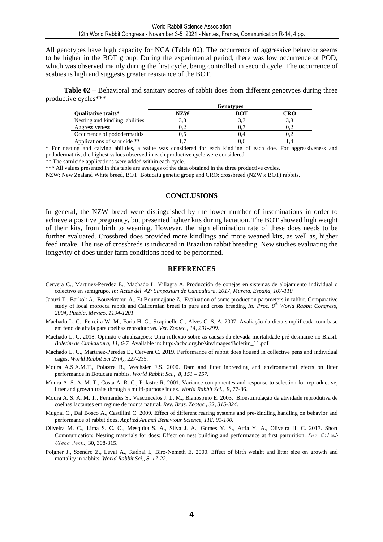All genotypes have high capacity for NCA (Table 02). The occurrence of aggressive behavior seems to be higher in the BOT group. During the experimental period, there was low occurrence of POD, which was observed mainly during the first cycle, being controlled in second cycle. The occurrence of scabies is high and suggests greater resistance of the BOT.

**Table 02** – Behavioral and sanitary scores of rabbit does from different genotypes during three productive cycles\*\*\*

|                                | <b>Genotypes</b> |     |                               |  |  |
|--------------------------------|------------------|-----|-------------------------------|--|--|
| <b>Oualitative traits*</b>     | NZW              | BOT | $\mathbf C\mathbf R\mathbf O$ |  |  |
| Nesting and kindling abilities |                  | 27  |                               |  |  |
| Aggressiveness                 | U.Z              |     |                               |  |  |
| Occurrence of pododermatitis   | U.J              |     |                               |  |  |
| Applications of sarnicide **   |                  |     |                               |  |  |

\* For nesting and calving abilities, a value was considered for each kindling of each doe. For aggressiveness and pododermatitis, the highest values observed in each productive cycle were considered.

\*\* The sarnicide applications were added within each cycle.

\*\*\* All values presented in this table are averages of the data obtained in the three productive cycles.

NZW: New Zealand White breed, BOT: Botucatu genetic group and CRO: crossbreed (NZW x BOT) rabbits.

#### **CONCLUSIONS**

In general, the NZW breed were distinguished by the lower number of inseminations in order to achieve a positive pregnancy, but presented lighter kits during lactation. The BOT showed high weight of their kits, from birth to weaning. However, the high elimination rate of these does needs to be further evaluated. Crossbred does provided more kindlings and more weaned kits, as well as, higher feed intake. The use of crossbreds is indicated in Brazilian rabbit breeding. New studies evaluating the longevity of does under farm conditions need to be performed.

#### **REFERENCES**

- Cervera C., Martinez-Peredez E., Machado L. Villagra A. Producción de conejas en sistemas de alojamiento individual o colectivo en semigrupo. *In: Actas del 42° Simposium de Cunicultura, 2017, Murcia, España, 107-110*
- Jaouzi T., Barkok A., Bouzekraoui A., Et Bouymajjane Z. Evaluation of some production parameters in rabbit. Comparative study of local morocca rabbit and Californian breed in pure and cross breeding *In: Proc. 8th World Rabbit Congress, 2004, Puebla, Mexico, 1194-1201*
- Machado L. C., Ferreira W. M., Faria H. G., Scapinello C., Alves C. S. A. 2007. Avaliação da dieta simplificada com base em feno de alfafa para coelhas reprodutoras*. Vet. Zootec., 14, 291-299.*
- Machado L. C. 2018. Opinião e atualizações: Uma reflexão sobre as causas da elevada mortalidade pré-desmame no Brasil. *Boletim de Cunicultura, 11, 6-7.* Available in: http://acbc.org.br/site/images/Boletim\_11.pdf
- Machado L. C., Martinez-Peredes E., Cervera C. 2019. Performance of rabbit does housed in collective pens and individual cages. *World Rabbit Sci 27(4), 227-235.*
- Moura A.S.A.M.T., Polastre R., Wechsler F.S. 2000. Dam and litter inbreeding and environmental efects on litter performance in Botucatu rabbits. *World Rabbit Sci., 8, 151 – 157.*
- Moura A. S. A. M. T., Costa A. R. C., Polastre R. 2001. Variance componentes and response to selection for reproductive, litter and growth traits through a multi-purpose index. *World Rabbit Sci*., 9, 77-86.
- Moura A. S. A. M. T., Fernandes S., Vasconcelos J. L. M., Bianospino E. 2003. Bioestimulação da atividade reprodutiva de coelhas lactantes em regime de monta natural*. Rev. Bras. Zootec., 32, 315-324.*
- Mugnai C., Dal Bosco A., Castillini C. 2009. Effect of different rearing systems and pre-kindling handling on behavior and performance of rabbit does. *Applied Animal Behaviour Science, 118, 91-100.*
- Oliveira M. C., Lima S. C. O., Mesquita S. A., Silva J. A., Gomes Y. S., Attia Y. A., Oliveira H. C. 2017. Short Communication: Nesting materials for does: Effect on nest building and performance at first parturition. Rev Colomb Cienc Pecu., 30, 308-315.
- Poigner J., Szendro Z., Levai A., Radnai I., Biro-Nemeth E. 2000. Effect of birth weight and litter size on growth and mortality in rabbits. *World Rabbit Sci., 8, 17-22.*